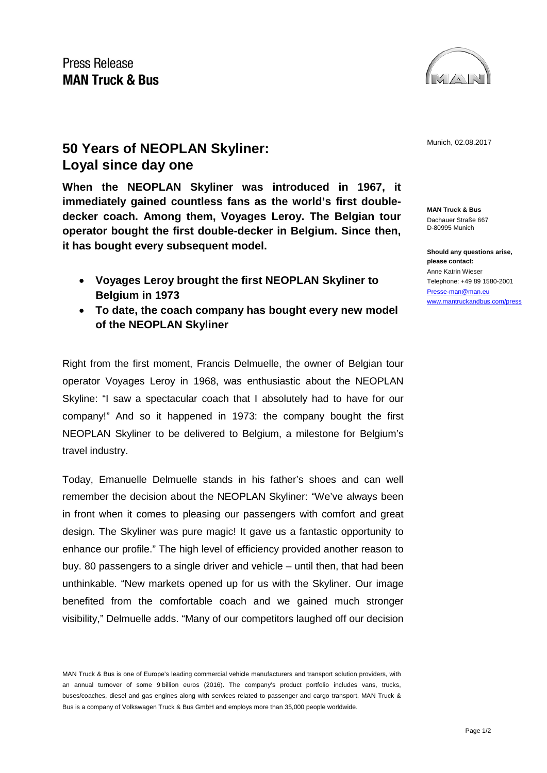

## **50 Years of NEOPLAN Skyliner:** Munich, 02.08.2017 **Loyal since day one**

**When the NEOPLAN Skyliner was introduced in 1967, it immediately gained countless fans as the world's first doubledecker coach. Among them, Voyages Leroy. The Belgian tour operator bought the first double-decker in Belgium. Since then, it has bought every subsequent model.** 

- **Voyages Leroy brought the first NEOPLAN Skyliner to Belgium in 1973**
- **To date, the coach company has bought every new model of the NEOPLAN Skyliner**

Right from the first moment, Francis Delmuelle, the owner of Belgian tour operator Voyages Leroy in 1968, was enthusiastic about the NEOPLAN Skyline: "I saw a spectacular coach that I absolutely had to have for our company!" And so it happened in 1973: the company bought the first NEOPLAN Skyliner to be delivered to Belgium, a milestone for Belgium's travel industry.

Today, Emanuelle Delmuelle stands in his father's shoes and can well remember the decision about the NEOPLAN Skyliner: "We've always been in front when it comes to pleasing our passengers with comfort and great design. The Skyliner was pure magic! It gave us a fantastic opportunity to enhance our profile." The high level of efficiency provided another reason to buy. 80 passengers to a single driver and vehicle – until then, that had been unthinkable. "New markets opened up for us with the Skyliner. Our image benefited from the comfortable coach and we gained much stronger visibility," Delmuelle adds. "Many of our competitors laughed off our decision

**MAN Truck & Bus** Dachauer Straße 667 D-80995 Munich

**Should any questions arise, please contact:** Anne Katrin Wieser Telephone: +49 89 1580-2001 [Presse-man@man.eu](mailto:Presse-man@man.eu) [www.mantruckandbus.com/press](http://www.mantruckandbus.com/press)

MAN Truck & Bus is one of Europe's leading commercial vehicle manufacturers and transport solution providers, with an annual turnover of some 9 billion euros (2016). The company's product portfolio includes vans, trucks, buses/coaches, diesel and gas engines along with services related to passenger and cargo transport. MAN Truck & Bus is a company of Volkswagen Truck & Bus GmbH and employs more than 35,000 people worldwide.